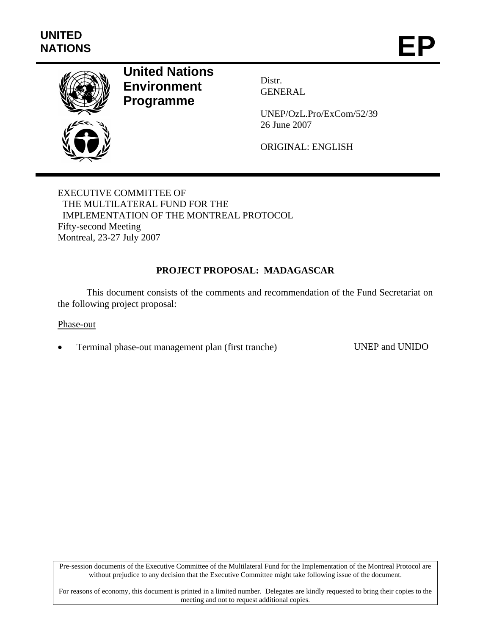

# **United Nations Environment Programme**

Distr. GENERAL

UNEP/OzL.Pro/ExCom/52/39 26 June 2007

ORIGINAL: ENGLISH

EXECUTIVE COMMITTEE OF THE MULTILATERAL FUND FOR THE IMPLEMENTATION OF THE MONTREAL PROTOCOL Fifty-second Meeting Montreal, 23-27 July 2007

# **PROJECT PROPOSAL: MADAGASCAR**

This document consists of the comments and recommendation of the Fund Secretariat on the following project proposal:

## Phase-out

• Terminal phase-out management plan (first tranche) UNEP and UNIDO

Pre-session documents of the Executive Committee of the Multilateral Fund for the Implementation of the Montreal Protocol are without prejudice to any decision that the Executive Committee might take following issue of the document.

For reasons of economy, this document is printed in a limited number. Delegates are kindly requested to bring their copies to the meeting and not to request additional copies.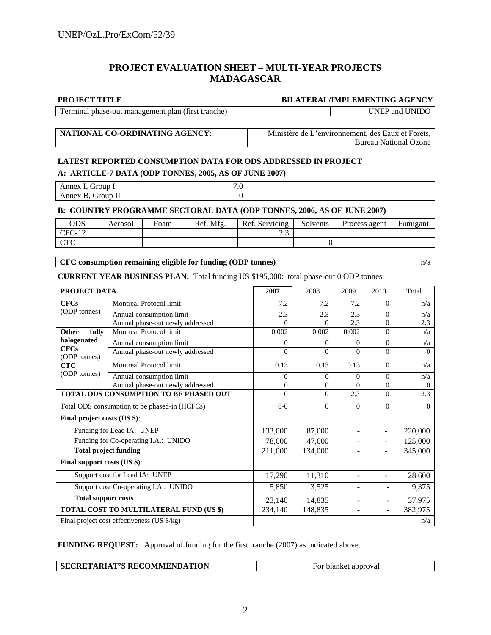# **PROJECT EVALUATION SHEET – MULTI-YEAR PROJECTS MADAGASCAR**

## **PROJECT TITLE BILATERAL/IMPLEMENTING AGENCY**

Terminal phase-out management plan (first tranche) UNEP and UNIDO

**NATIONAL CO-ORDINATING AGENCY:** Ministère de L'environnement, des Eaux et Forets, Bureau National Ozone

# **LATEST REPORTED CONSUMPTION DATA FOR ODS ADDRESSED IN PROJECT A: ARTICLE-7 DATA (ODP TONNES, 2005, AS OF JUNE 2007)**

| <b>iroun</b><br>Annex                          | $\sim$<br>.v |  |
|------------------------------------------------|--------------|--|
| $\sim$<br>$\mathbf{v}$<br>Annex B.<br>Group II |              |  |

## **B: COUNTRY PROGRAMME SECTORAL DATA (ODP TONNES, 2006, AS OF JUNE 2007)**

| ODS            | Aerosol | Foam | Ref. Mfg. | Ref. Servicing | Solvents | Process agent | $\blacksquare$<br>Fumigant |
|----------------|---------|------|-----------|----------------|----------|---------------|----------------------------|
| $CFC-12$       |         |      |           | ر. .           |          |               |                            |
| $\Gamma$<br>UR |         |      |           |                |          |               |                            |

**CFC consumption remaining eligible for funding (ODP tonnes)** and a non-

**CURRENT YEAR BUSINESS PLAN:** Total funding US \$195,000: total phase-out 0 ODP tonnes.

| PROJECT DATA                                  |                                             | 2007     | 2008     | 2009                     | 2010                     | Total    |
|-----------------------------------------------|---------------------------------------------|----------|----------|--------------------------|--------------------------|----------|
| <b>CFCs</b>                                   | <b>Montreal Protocol limit</b>              | 7.2      | 7.2      | 7.2                      | $\Omega$                 | n/a      |
| (ODP tonnes)                                  | Annual consumption limit                    | 2.3      | 2.3      | 2.3                      | $\Omega$                 | n/a      |
|                                               | Annual phase-out newly addressed            | $\Omega$ | $\Omega$ | 2.3                      | $\Omega$                 | 2.3      |
| Other<br>fully                                | Montreal Protocol limit                     | 0.002    | 0.002    | 0.002                    | $\Omega$                 | n/a      |
| halogenated                                   | Annual consumption limit                    | $\Omega$ | $\Omega$ | $\Omega$                 | $\Omega$                 | n/a      |
| <b>CFCs</b><br>(ODP tonnes)                   | Annual phase-out newly addressed            | $\Omega$ | $\Omega$ | $\Omega$                 | $\Omega$                 | $\Omega$ |
| <b>CTC</b>                                    | <b>Montreal Protocol limit</b>              | 0.13     | 0.13     | 0.13                     | $\Omega$                 | n/a      |
| (ODP tonnes)                                  | Annual consumption limit                    | $\Omega$ | $\Omega$ | $\Omega$                 | $\Omega$                 | n/a      |
|                                               | Annual phase-out newly addressed            | $\Omega$ | $\Omega$ | $\Omega$                 | $\theta$                 | $\Omega$ |
| TOTAL ODS CONSUMPTION TO BE PHASED OUT        |                                             | $\Omega$ | $\Omega$ | 2.3                      | $\Omega$                 | 2.3      |
| Total ODS consumption to be phased-in (HCFCs) |                                             | $0 - 0$  | $\Omega$ | $\Omega$                 | $\Omega$                 | $\Omega$ |
| Final project costs (US \$):                  |                                             |          |          |                          |                          |          |
| Funding for Lead IA: UNEP                     | 133,000                                     | 87,000   | ٠        | ٠                        | 220,000                  |          |
|                                               | Funding for Co-operating I.A.: UNIDO        | 78,000   | 47,000   |                          |                          | 125,000  |
| <b>Total project funding</b>                  |                                             | 211,000  | 134,000  | ٠                        |                          | 345,000  |
| Final support costs (US \$):                  |                                             |          |          |                          |                          |          |
| Support cost for Lead IA: UNEP                |                                             | 17,290   | 11,310   | $\overline{\phantom{0}}$ | $\equiv$                 | 28,600   |
| Support cost Co-operating I.A.: UNIDO         |                                             | 5,850    | 3,525    | $\overline{\phantom{a}}$ | $\blacksquare$           | 9,375    |
| <b>Total support costs</b>                    |                                             | 23,140   | 14,835   | $\overline{a}$           | $\overline{\phantom{a}}$ | 37,975   |
|                                               | TOTAL COST TO MULTILATERAL FUND (US \$)     | 234,140  | 148,835  | $\overline{\phantom{0}}$ | ÷                        | 382,975  |
|                                               | Final project cost effectiveness (US \$/kg) |          |          |                          |                          | n/a      |

**FUNDING REQUEST:** Approval of funding for the first tranche (2007) as indicated above.

| SECRETARIAT'S RECOMMENDATION<br>`approval<br>blanket<br>For |
|-------------------------------------------------------------|
|-------------------------------------------------------------|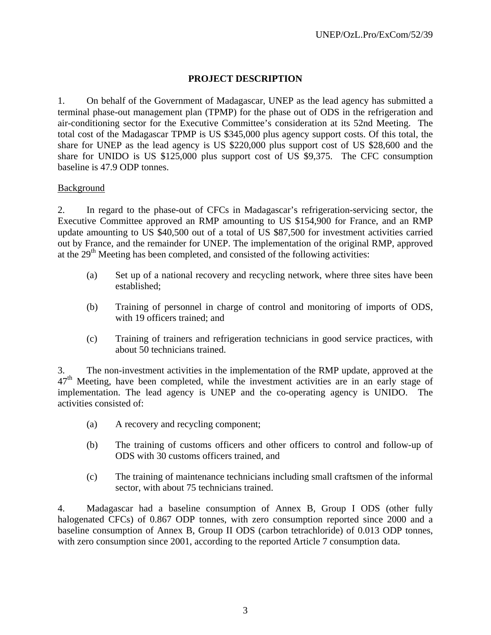# **PROJECT DESCRIPTION**

1. On behalf of the Government of Madagascar, UNEP as the lead agency has submitted a terminal phase-out management plan (TPMP) for the phase out of ODS in the refrigeration and air-conditioning sector for the Executive Committee's consideration at its 52nd Meeting. The total cost of the Madagascar TPMP is US \$345,000 plus agency support costs. Of this total, the share for UNEP as the lead agency is US \$220,000 plus support cost of US \$28,600 and the share for UNIDO is US \$125,000 plus support cost of US \$9,375. The CFC consumption baseline is 47.9 ODP tonnes.

# **Background**

2. In regard to the phase-out of CFCs in Madagascar's refrigeration-servicing sector, the Executive Committee approved an RMP amounting to US \$154,900 for France, and an RMP update amounting to US \$40,500 out of a total of US \$87,500 for investment activities carried out by France, and the remainder for UNEP. The implementation of the original RMP, approved at the  $29<sup>th</sup>$  Meeting has been completed, and consisted of the following activities:

- (a) Set up of a national recovery and recycling network, where three sites have been established;
- (b) Training of personnel in charge of control and monitoring of imports of ODS, with 19 officers trained; and
- (c) Training of trainers and refrigeration technicians in good service practices, with about 50 technicians trained.

3. The non-investment activities in the implementation of the RMP update, approved at the  $47<sup>th</sup>$  Meeting, have been completed, while the investment activities are in an early stage of implementation. The lead agency is UNEP and the co-operating agency is UNIDO. The activities consisted of:

- (a) A recovery and recycling component;
- (b) The training of customs officers and other officers to control and follow-up of ODS with 30 customs officers trained, and
- (c) The training of maintenance technicians including small craftsmen of the informal sector, with about 75 technicians trained.

4. Madagascar had a baseline consumption of Annex B, Group I ODS (other fully halogenated CFCs) of 0.867 ODP tonnes, with zero consumption reported since 2000 and a baseline consumption of Annex B, Group II ODS (carbon tetrachloride) of 0.013 ODP tonnes, with zero consumption since 2001, according to the reported Article 7 consumption data.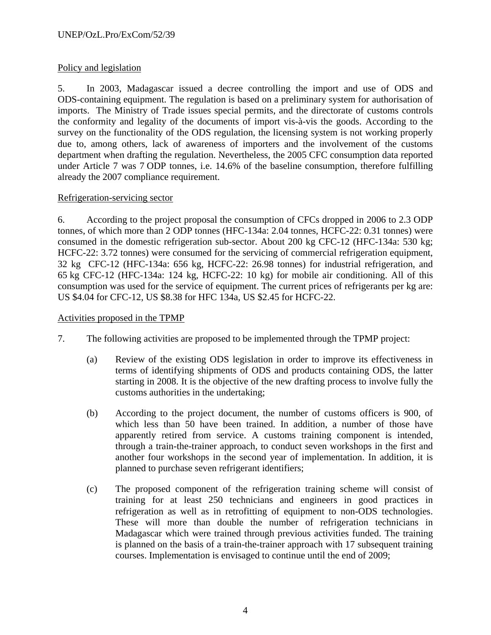# Policy and legislation

5. In 2003, Madagascar issued a decree controlling the import and use of ODS and ODS-containing equipment. The regulation is based on a preliminary system for authorisation of imports. The Ministry of Trade issues special permits, and the directorate of customs controls the conformity and legality of the documents of import vis-à-vis the goods. According to the survey on the functionality of the ODS regulation, the licensing system is not working properly due to, among others, lack of awareness of importers and the involvement of the customs department when drafting the regulation. Nevertheless, the 2005 CFC consumption data reported under Article 7 was 7 ODP tonnes, i.e. 14.6% of the baseline consumption, therefore fulfilling already the 2007 compliance requirement.

# Refrigeration-servicing sector

6. According to the project proposal the consumption of CFCs dropped in 2006 to 2.3 ODP tonnes, of which more than 2 ODP tonnes (HFC-134a: 2.04 tonnes, HCFC-22: 0.31 tonnes) were consumed in the domestic refrigeration sub-sector. About 200 kg CFC-12 (HFC-134a: 530 kg; HCFC-22: 3.72 tonnes) were consumed for the servicing of commercial refrigeration equipment, 32 kg CFC-12 (HFC-134a: 656 kg, HCFC-22: 26.98 tonnes) for industrial refrigeration, and 65 kg CFC-12 (HFC-134a: 124 kg, HCFC-22: 10 kg) for mobile air conditioning. All of this consumption was used for the service of equipment. The current prices of refrigerants per kg are: US \$4.04 for CFC-12, US \$8.38 for HFC 134a, US \$2.45 for HCFC-22.

# Activities proposed in the TPMP

- 7. The following activities are proposed to be implemented through the TPMP project:
	- (a) Review of the existing ODS legislation in order to improve its effectiveness in terms of identifying shipments of ODS and products containing ODS, the latter starting in 2008. It is the objective of the new drafting process to involve fully the customs authorities in the undertaking;
	- (b) According to the project document, the number of customs officers is 900, of which less than 50 have been trained. In addition, a number of those have apparently retired from service. A customs training component is intended, through a train-the-trainer approach, to conduct seven workshops in the first and another four workshops in the second year of implementation. In addition, it is planned to purchase seven refrigerant identifiers;
	- (c) The proposed component of the refrigeration training scheme will consist of training for at least 250 technicians and engineers in good practices in refrigeration as well as in retrofitting of equipment to non-ODS technologies. These will more than double the number of refrigeration technicians in Madagascar which were trained through previous activities funded. The training is planned on the basis of a train-the-trainer approach with 17 subsequent training courses. Implementation is envisaged to continue until the end of 2009;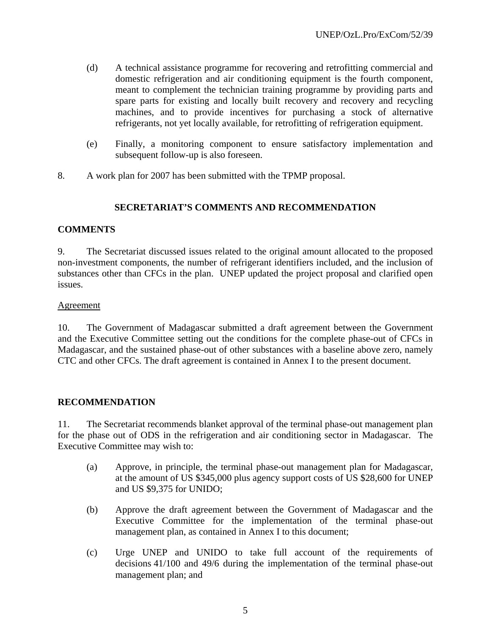- (d) A technical assistance programme for recovering and retrofitting commercial and domestic refrigeration and air conditioning equipment is the fourth component, meant to complement the technician training programme by providing parts and spare parts for existing and locally built recovery and recovery and recycling machines, and to provide incentives for purchasing a stock of alternative refrigerants, not yet locally available, for retrofitting of refrigeration equipment.
- (e) Finally, a monitoring component to ensure satisfactory implementation and subsequent follow-up is also foreseen.
- 8. A work plan for 2007 has been submitted with the TPMP proposal.

# **SECRETARIAT'S COMMENTS AND RECOMMENDATION**

# **COMMENTS**

9. The Secretariat discussed issues related to the original amount allocated to the proposed non-investment components, the number of refrigerant identifiers included, and the inclusion of substances other than CFCs in the plan. UNEP updated the project proposal and clarified open issues.

## Agreement

10. The Government of Madagascar submitted a draft agreement between the Government and the Executive Committee setting out the conditions for the complete phase-out of CFCs in Madagascar, and the sustained phase-out of other substances with a baseline above zero, namely CTC and other CFCs. The draft agreement is contained in Annex I to the present document.

# **RECOMMENDATION**

11. The Secretariat recommends blanket approval of the terminal phase-out management plan for the phase out of ODS in the refrigeration and air conditioning sector in Madagascar. The Executive Committee may wish to:

- (a) Approve, in principle, the terminal phase-out management plan for Madagascar, at the amount of US \$345,000 plus agency support costs of US \$28,600 for UNEP and US \$9,375 for UNIDO;
- (b) Approve the draft agreement between the Government of Madagascar and the Executive Committee for the implementation of the terminal phase-out management plan, as contained in Annex I to this document;
- (c) Urge UNEP and UNIDO to take full account of the requirements of decisions 41/100 and 49/6 during the implementation of the terminal phase-out management plan; and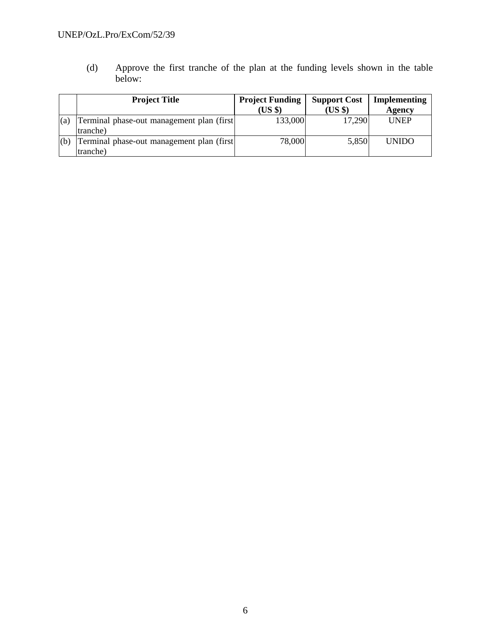# UNEP/OzL.Pro/ExCom/52/39

(d) Approve the first tranche of the plan at the funding levels shown in the table below:

|     | <b>Project Title</b>                                   | <b>Project Funding</b><br>$(US \$ | <b>Support Cost</b><br>$(US \$ | Implementing<br>Agency |
|-----|--------------------------------------------------------|-----------------------------------|--------------------------------|------------------------|
| (a) | Terminal phase-out management plan (first)<br>tranche) | 133,000                           | 17.290                         | <b>UNEP</b>            |
| (b) | Terminal phase-out management plan (first)<br>tranche) | 78,000                            | 5,850                          | <b>UNIDO</b>           |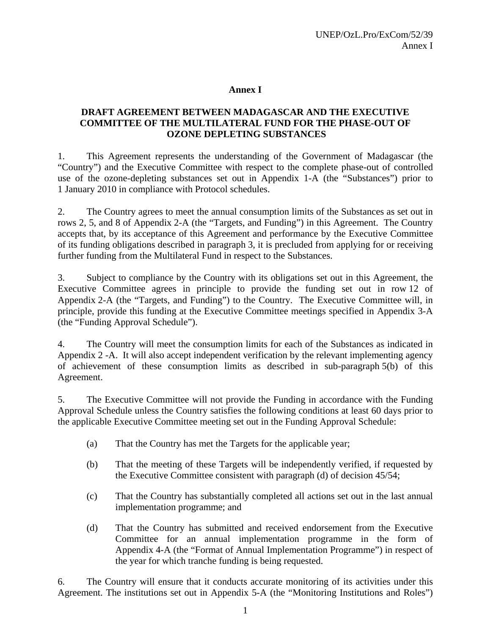# **Annex I**

# **DRAFT AGREEMENT BETWEEN MADAGASCAR AND THE EXECUTIVE COMMITTEE OF THE MULTILATERAL FUND FOR THE PHASE-OUT OF OZONE DEPLETING SUBSTANCES**

1. This Agreement represents the understanding of the Government of Madagascar (the "Country") and the Executive Committee with respect to the complete phase-out of controlled use of the ozone-depleting substances set out in Appendix 1-A (the "Substances") prior to 1 January 2010 in compliance with Protocol schedules.

2. The Country agrees to meet the annual consumption limits of the Substances as set out in rows 2, 5, and 8 of Appendix 2-A (the "Targets, and Funding") in this Agreement. The Country accepts that, by its acceptance of this Agreement and performance by the Executive Committee of its funding obligations described in paragraph 3, it is precluded from applying for or receiving further funding from the Multilateral Fund in respect to the Substances.

3. Subject to compliance by the Country with its obligations set out in this Agreement, the Executive Committee agrees in principle to provide the funding set out in row 12 of Appendix 2-A (the "Targets, and Funding") to the Country. The Executive Committee will, in principle, provide this funding at the Executive Committee meetings specified in Appendix 3-A (the "Funding Approval Schedule").

4. The Country will meet the consumption limits for each of the Substances as indicated in Appendix 2 -A. It will also accept independent verification by the relevant implementing agency of achievement of these consumption limits as described in sub-paragraph 5(b) of this Agreement.

5. The Executive Committee will not provide the Funding in accordance with the Funding Approval Schedule unless the Country satisfies the following conditions at least 60 days prior to the applicable Executive Committee meeting set out in the Funding Approval Schedule:

- (a) That the Country has met the Targets for the applicable year;
- (b) That the meeting of these Targets will be independently verified, if requested by the Executive Committee consistent with paragraph (d) of decision 45/54;
- (c) That the Country has substantially completed all actions set out in the last annual implementation programme; and
- (d) That the Country has submitted and received endorsement from the Executive Committee for an annual implementation programme in the form of Appendix 4-A (the "Format of Annual Implementation Programme") in respect of the year for which tranche funding is being requested.

6. The Country will ensure that it conducts accurate monitoring of its activities under this Agreement. The institutions set out in Appendix 5-A (the "Monitoring Institutions and Roles")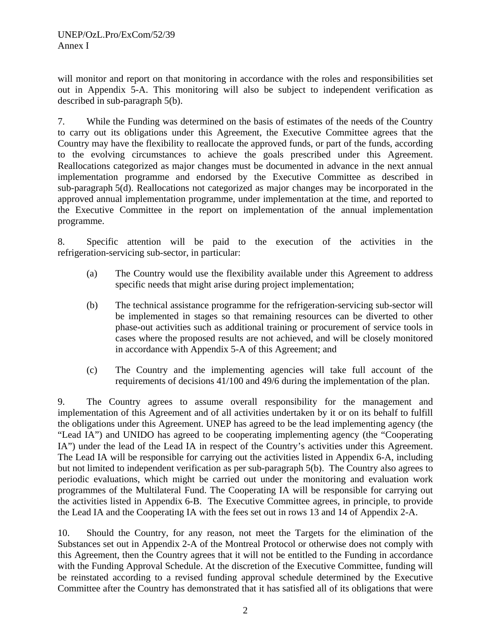will monitor and report on that monitoring in accordance with the roles and responsibilities set out in Appendix 5-A. This monitoring will also be subject to independent verification as described in sub-paragraph 5(b).

7. While the Funding was determined on the basis of estimates of the needs of the Country to carry out its obligations under this Agreement, the Executive Committee agrees that the Country may have the flexibility to reallocate the approved funds, or part of the funds, according to the evolving circumstances to achieve the goals prescribed under this Agreement. Reallocations categorized as major changes must be documented in advance in the next annual implementation programme and endorsed by the Executive Committee as described in sub-paragraph 5(d). Reallocations not categorized as major changes may be incorporated in the approved annual implementation programme, under implementation at the time, and reported to the Executive Committee in the report on implementation of the annual implementation programme.

8. Specific attention will be paid to the execution of the activities in the refrigeration-servicing sub-sector, in particular:

- (a) The Country would use the flexibility available under this Agreement to address specific needs that might arise during project implementation;
- (b) The technical assistance programme for the refrigeration-servicing sub-sector will be implemented in stages so that remaining resources can be diverted to other phase-out activities such as additional training or procurement of service tools in cases where the proposed results are not achieved, and will be closely monitored in accordance with Appendix 5-A of this Agreement; and
- (c) The Country and the implementing agencies will take full account of the requirements of decisions 41/100 and 49/6 during the implementation of the plan.

9. The Country agrees to assume overall responsibility for the management and implementation of this Agreement and of all activities undertaken by it or on its behalf to fulfill the obligations under this Agreement. UNEP has agreed to be the lead implementing agency (the "Lead IA") and UNIDO has agreed to be cooperating implementing agency (the "Cooperating IA") under the lead of the Lead IA in respect of the Country's activities under this Agreement. The Lead IA will be responsible for carrying out the activities listed in Appendix 6-A, including but not limited to independent verification as per sub-paragraph 5(b). The Country also agrees to periodic evaluations, which might be carried out under the monitoring and evaluation work programmes of the Multilateral Fund. The Cooperating IA will be responsible for carrying out the activities listed in Appendix 6-B. The Executive Committee agrees, in principle, to provide the Lead IA and the Cooperating IA with the fees set out in rows 13 and 14 of Appendix 2-A.

10. Should the Country, for any reason, not meet the Targets for the elimination of the Substances set out in Appendix 2-A of the Montreal Protocol or otherwise does not comply with this Agreement, then the Country agrees that it will not be entitled to the Funding in accordance with the Funding Approval Schedule. At the discretion of the Executive Committee, funding will be reinstated according to a revised funding approval schedule determined by the Executive Committee after the Country has demonstrated that it has satisfied all of its obligations that were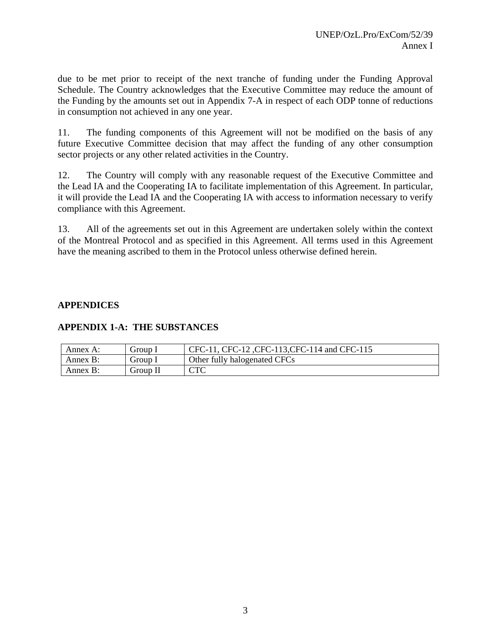due to be met prior to receipt of the next tranche of funding under the Funding Approval Schedule. The Country acknowledges that the Executive Committee may reduce the amount of the Funding by the amounts set out in Appendix 7-A in respect of each ODP tonne of reductions in consumption not achieved in any one year.

11. The funding components of this Agreement will not be modified on the basis of any future Executive Committee decision that may affect the funding of any other consumption sector projects or any other related activities in the Country.

12. The Country will comply with any reasonable request of the Executive Committee and the Lead IA and the Cooperating IA to facilitate implementation of this Agreement. In particular, it will provide the Lead IA and the Cooperating IA with access to information necessary to verify compliance with this Agreement.

13. All of the agreements set out in this Agreement are undertaken solely within the context of the Montreal Protocol and as specified in this Agreement. All terms used in this Agreement have the meaning ascribed to them in the Protocol unless otherwise defined herein.

# **APPENDICES**

# **APPENDIX 1-A: THE SUBSTANCES**

| Annex A: | $'$ <i>froup</i> $\bf{l}$ | CFC-11, CFC-12, CFC-113, CFC-114 and CFC-115 |
|----------|---------------------------|----------------------------------------------|
| Annex B: | Group $\overline{1}$      | Other fully halogenated CFCs                 |
| Annex B: | Group II                  | $\cap$ T $\cap$                              |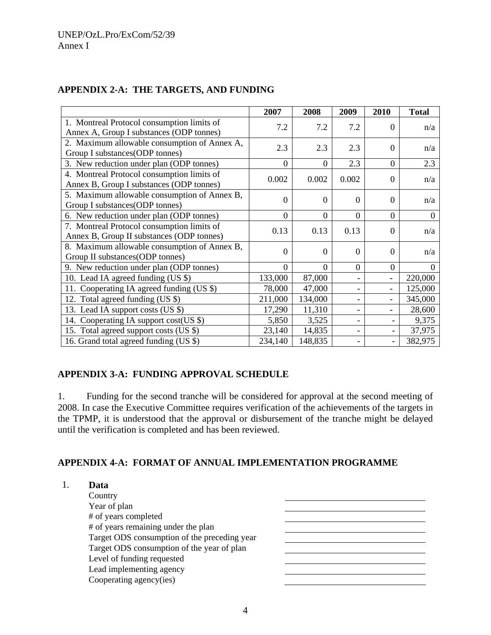|                                                                                         | 2007             | 2008             | 2009                     | 2010           | <b>Total</b> |
|-----------------------------------------------------------------------------------------|------------------|------------------|--------------------------|----------------|--------------|
| 1. Montreal Protocol consumption limits of<br>Annex A, Group I substances (ODP tonnes)  | 7.2              | 7.2              | 7.2                      | $\Omega$       | n/a          |
| 2. Maximum allowable consumption of Annex A,<br>Group I substances(ODP tonnes)          | 2.3              | 2.3              | 2.3                      | $\Omega$       | n/a          |
| 3. New reduction under plan (ODP tonnes)                                                | $\overline{0}$   | $\overline{0}$   | 2.3                      | $\overline{0}$ | 2.3          |
| 4. Montreal Protocol consumption limits of<br>Annex B, Group I substances (ODP tonnes)  | 0.002            | 0.002            | 0.002                    | $\Omega$       | n/a          |
| 5. Maximum allowable consumption of Annex B,<br>Group I substances (ODP tonnes)         | $\Omega$         | $\overline{0}$   | $\theta$                 | $\Omega$       | n/a          |
| 6. New reduction under plan (ODP tonnes)                                                | $\boldsymbol{0}$ | $\boldsymbol{0}$ | $\theta$                 | $\overline{0}$ | $\Omega$     |
| 7. Montreal Protocol consumption limits of<br>Annex B, Group II substances (ODP tonnes) | 0.13             | 0.13             | 0.13                     | $\Omega$       | n/a          |
| 8. Maximum allowable consumption of Annex B,<br>Group II substances(ODP tonnes)         | $\overline{0}$   | $\overline{0}$   | $\theta$                 | $\Omega$       | n/a          |
| 9. New reduction under plan (ODP tonnes)                                                | $\overline{0}$   | $\overline{0}$   | $\Omega$                 | $\overline{0}$ | 0            |
| 10. Lead IA agreed funding (US \$)                                                      | 133,000          | 87,000           |                          |                | 220,000      |
| Cooperating IA agreed funding $(US \$ )<br>11.                                          | 78,000           | 47,000           |                          |                | 125,000      |
| 12. Total agreed funding (US \$)                                                        | 211,000          | 134,000          |                          |                | 345,000      |
| 13. Lead IA support costs (US \$)                                                       | 17,290           | 11,310           |                          |                | 28,600       |
| Cooperating IA support cost(US \$)<br>14.                                               | 5,850            | 3,525            | $\overline{\phantom{0}}$ |                | 9,375        |
| 15. Total agreed support costs (US \$)                                                  | 23,140           | 14,835           |                          |                | 37,975       |
| 16. Grand total agreed funding (US \$)                                                  | 234,140          | 148,835          |                          |                | 382,975      |

# **APPENDIX 2-A: THE TARGETS, AND FUNDING**

# **APPENDIX 3-A: FUNDING APPROVAL SCHEDULE**

1. Funding for the second tranche will be considered for approval at the second meeting of 2008. In case the Executive Committee requires verification of the achievements of the targets in the TPMP, it is understood that the approval or disbursement of the tranche might be delayed until the verification is completed and has been reviewed.

# **APPENDIX 4-A: FORMAT OF ANNUAL IMPLEMENTATION PROGRAMME**

| Data                                         |  |
|----------------------------------------------|--|
| Country                                      |  |
| Year of plan                                 |  |
| # of years completed                         |  |
| # of years remaining under the plan          |  |
| Target ODS consumption of the preceding year |  |
| Target ODS consumption of the year of plan   |  |
| Level of funding requested                   |  |
| Lead implementing agency                     |  |
| Cooperating agency(ies)                      |  |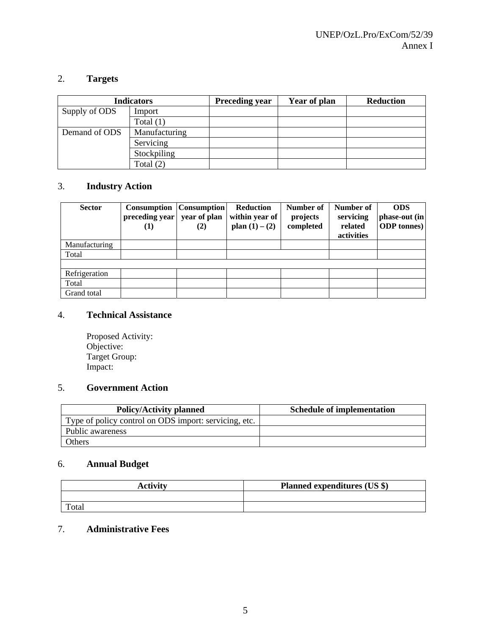# 2. **Targets**

|               | <b>Indicators</b> | <b>Preceding year</b> | Year of plan | <b>Reduction</b> |
|---------------|-------------------|-----------------------|--------------|------------------|
| Supply of ODS | Import            |                       |              |                  |
|               | Total $(1)$       |                       |              |                  |
| Demand of ODS | Manufacturing     |                       |              |                  |
|               | Servicing         |                       |              |                  |
|               | Stockpiling       |                       |              |                  |
|               | Total $(2)$       |                       |              |                  |

# 3. **Industry Action**

| <b>Sector</b> | Consumption<br>preceding year<br>$\bf(1)$ | <b>Consumption</b><br>year of plan<br>(2) | <b>Reduction</b><br>within year of<br>plan $(1) - (2)$ | Number of<br>projects<br>completed | Number of<br>servicing<br>related<br>activities | <b>ODS</b><br>phase-out (in<br><b>ODP</b> tonnes) |
|---------------|-------------------------------------------|-------------------------------------------|--------------------------------------------------------|------------------------------------|-------------------------------------------------|---------------------------------------------------|
| Manufacturing |                                           |                                           |                                                        |                                    |                                                 |                                                   |
| Total         |                                           |                                           |                                                        |                                    |                                                 |                                                   |
|               |                                           |                                           |                                                        |                                    |                                                 |                                                   |
| Refrigeration |                                           |                                           |                                                        |                                    |                                                 |                                                   |
| Total         |                                           |                                           |                                                        |                                    |                                                 |                                                   |
| Grand total   |                                           |                                           |                                                        |                                    |                                                 |                                                   |

# 4. **Technical Assistance**

Proposed Activity: Objective: Target Group: Impact:

# 5. **Government Action**

| <b>Policy/Activity planned</b>                        | <b>Schedule of implementation</b> |
|-------------------------------------------------------|-----------------------------------|
| Type of policy control on ODS import: servicing, etc. |                                   |
| Public awareness                                      |                                   |
| Others                                                |                                   |

# 6. **Annual Budget**

| <b>Activity</b> | <b>Planned expenditures (US \$)</b> |
|-----------------|-------------------------------------|
|                 |                                     |
| Total           |                                     |

# 7. **Administrative Fees**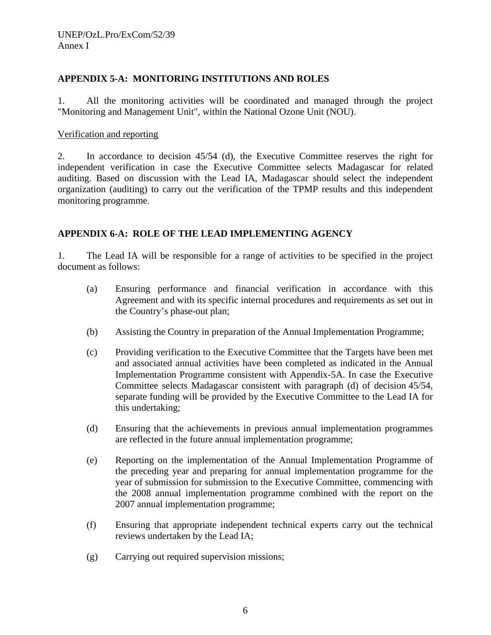# **APPENDIX 5-A: MONITORING INSTITUTIONS AND ROLES**

1. All the monitoring activities will be coordinated and managed through the project "Monitoring and Management Unit", within the National Ozone Unit (NOU).

## Verification and reporting

2. In accordance to decision 45/54 (d), the Executive Committee reserves the right for independent verification in case the Executive Committee selects Madagascar for related auditing. Based on discussion with the Lead IA, Madagascar should select the independent organization (auditing) to carry out the verification of the TPMP results and this independent monitoring programme.

# **APPENDIX 6-A: ROLE OF THE LEAD IMPLEMENTING AGENCY**

1. The Lead IA will be responsible for a range of activities to be specified in the project document as follows:

- (a) Ensuring performance and financial verification in accordance with this Agreement and with its specific internal procedures and requirements as set out in the Country's phase-out plan;
- (b) Assisting the Country in preparation of the Annual Implementation Programme;
- (c) Providing verification to the Executive Committee that the Targets have been met and associated annual activities have been completed as indicated in the Annual Implementation Programme consistent with Appendix-5A. In case the Executive Committee selects Madagascar consistent with paragraph (d) of decision 45/54, separate funding will be provided by the Executive Committee to the Lead IA for this undertaking;
- (d) Ensuring that the achievements in previous annual implementation programmes are reflected in the future annual implementation programme;
- (e) Reporting on the implementation of the Annual Implementation Programme of the preceding year and preparing for annual implementation programme for the year of submission for submission to the Executive Committee, commencing with the 2008 annual implementation programme combined with the report on the 2007 annual implementation programme;
- (f) Ensuring that appropriate independent technical experts carry out the technical reviews undertaken by the Lead IA;
- (g) Carrying out required supervision missions;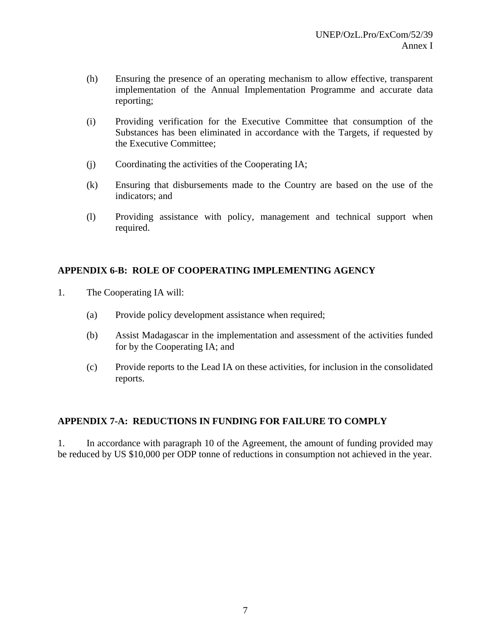- (h) Ensuring the presence of an operating mechanism to allow effective, transparent implementation of the Annual Implementation Programme and accurate data reporting;
- (i) Providing verification for the Executive Committee that consumption of the Substances has been eliminated in accordance with the Targets, if requested by the Executive Committee;
- (j) Coordinating the activities of the Cooperating IA;
- (k) Ensuring that disbursements made to the Country are based on the use of the indicators; and
- (l) Providing assistance with policy, management and technical support when required.

# **APPENDIX 6-B: ROLE OF COOPERATING IMPLEMENTING AGENCY**

- 1. The Cooperating IA will:
	- (a) Provide policy development assistance when required;
	- (b) Assist Madagascar in the implementation and assessment of the activities funded for by the Cooperating IA; and
	- (c) Provide reports to the Lead IA on these activities, for inclusion in the consolidated reports.

# **APPENDIX 7-A: REDUCTIONS IN FUNDING FOR FAILURE TO COMPLY**

1. In accordance with paragraph 10 of the Agreement, the amount of funding provided may be reduced by US \$10,000 per ODP tonne of reductions in consumption not achieved in the year.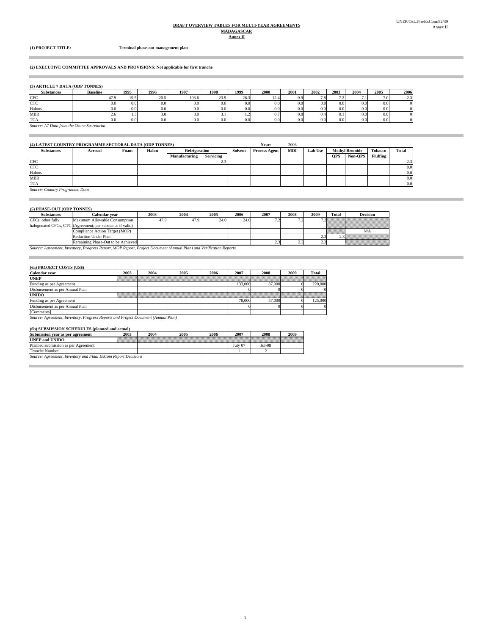# **DRAFT OVERVIEW TABLES FOR MULTI-YEAR AGREEMENTS MADAGASCAR**

### **Annex II**

Ē.

I.

**(1) PROJECT TITLE: Terminal phase-out management plan**

### **(2) EXECUTIVE COMMITTEE APPROVALS AND PROVISIONS: Not applicable for first tranche**

### **(3) ARTICLE 7 DATA (ODP TONNES)**

| <b>Substances</b> | <b>Baseline</b>                            | 1995 | 1996             | 1997  | 1998 | 1999 | 2000 | 2001             | 2002 | 2003 | 2004 | 2005             | 2006                 |
|-------------------|--------------------------------------------|------|------------------|-------|------|------|------|------------------|------|------|------|------------------|----------------------|
| <b>CFC</b>        | 47.9                                       | 19.5 | 20.5             | 103.6 | 23.9 | 26.3 | 12.4 | 9.9              | 7.8  | .    |      | 7.0              | $\sim$ $\sim$<br>2.3 |
| <b>CTC</b>        | 0.0 <sub>l</sub>                           | 0.0  | 0.0 <sub>1</sub> | 0.0   | 0.0  | 0.0  | 0.0  | 0.0 <sub>l</sub> | 0.0  | 0.0  | 9.0  | 0.0 <sub>1</sub> |                      |
| Halons            | 0.0                                        | 0.0  | 0.0              | 0.0   | 0.0  | 0.0  | 0.0  | 0.0              | 0.0  | 0.0  | 0.0  | 0.0 <sub>1</sub> |                      |
| <b>MBR</b>        | 2.6                                        | 1.5  | 3.0              | 3.O   |      | 1.4  | 0.1  | 0.8              |      | U. I | 0.0  | 0.0 <sub>1</sub> |                      |
| <b>TCA</b>        | 0.0                                        | 0.0  | 0.0 <sub>1</sub> | 0.0   | 0.0  | 0.0  | 0.0  | 0.0              | 0.0  | 0.0  | 0.0  | 0.0 <sub>1</sub> |                      |
|                   | Source: A7 Data from the Ozone Secretariat |      |                  |       |      |      |      |                  |      |      |      |                  |                      |

| (4) LATEST COUNTRY PROGRAMME SECTORAL DATA (ODP TONNES) |                |      |       |                      |                           |  | Year:                | 2006       |                |                       |         |                 |               |
|---------------------------------------------------------|----------------|------|-------|----------------------|---------------------------|--|----------------------|------------|----------------|-----------------------|---------|-----------------|---------------|
| <b>Substances</b>                                       | <b>Aerosol</b> | Foam | Halon |                      | Refrigeration             |  | <b>Process Agent</b> | <b>MDI</b> | <b>Lab Use</b> | <b>Methyl Bromide</b> |         | <b>Tobacco</b>  | <b>Total</b>  |
|                                                         |                |      |       | <b>Manufacturing</b> | <b>Servicing</b>          |  |                      |            |                | <b>OPS</b>            | Non-OPS | <b>Fluffing</b> |               |
| CFC                                                     |                |      |       |                      | $\mathcal{L} \mathcal{L}$ |  |                      |            |                |                       |         |                 | $2.3^{\circ}$ |
| <b>CTC</b>                                              |                |      |       |                      |                           |  |                      |            |                |                       |         |                 | 0.0           |
| Halons                                                  |                |      |       |                      |                           |  |                      |            |                |                       |         |                 | 0.0           |
| <b>MBR</b>                                              |                |      |       |                      |                           |  |                      |            |                |                       |         |                 | 0.0           |
| <b>TCA</b>                                              |                |      |       |                      |                           |  |                      |            |                |                       |         |                 | 0.0           |

1

*Source: Country Programme Data*

### **(5) PHASE-OUT (ODP TONNES)**

| $0.111733E-0.0100D11000D1527$ |                                                           |      |      |      |      |      |      |      |         |                               |
|-------------------------------|-----------------------------------------------------------|------|------|------|------|------|------|------|---------|-------------------------------|
| <b>Substances</b>             | ∑alendar vear                                             | 2003 | 2004 | 2005 | 2006 | 2007 | 2008 | 2009 | Total   | <b>Decision</b>               |
| CFCs, other fully             | Maximum Allowable Consumption                             | 17.9 | 47.9 | 24.0 | 24.0 |      |      |      |         |                               |
|                               | halogenated CFCs, CTC (Agreement; per substance if valid) |      |      |      |      |      |      |      |         |                               |
|                               | Compliance Action Target (MOP)                            |      |      |      |      |      |      |      | William | N/A                           |
|                               | <b>Reduction Under Plan</b>                               |      |      |      |      |      |      |      |         | 3 MARKATAN MATATAN            |
|                               | Remaining Phase-Out to be Achieved                        |      |      |      |      |      |      |      |         | <u>www.communications.com</u> |

*Source: Agreement, Inventory, Progress Report, MOP Report, Project Document (Annual Plan) and Verification Reports.* Remaining Phase-Out to be Achieved

### **(6a) PROJECT COSTS (US\$)**

÷

| Calendar vear                   | 2003                                                                              | 2004 | 2005 | 2006 | 2007    | 2008   | 2009 | Total   |  |  |
|---------------------------------|-----------------------------------------------------------------------------------|------|------|------|---------|--------|------|---------|--|--|
| <b>UNEP</b>                     |                                                                                   |      |      |      |         |        |      |         |  |  |
| Funding as per Agreement        |                                                                                   |      |      |      | 133,000 | 87,000 |      | 220,000 |  |  |
| Disbursement as per Annual Plan |                                                                                   |      |      |      |         |        |      |         |  |  |
| <b>UNIDO</b>                    |                                                                                   |      |      |      |         |        |      |         |  |  |
| Funding as per Agreement        |                                                                                   |      |      |      | 78,000  | 47,000 |      | 125.000 |  |  |
| Disbursement as per Annual Plan |                                                                                   |      |      |      |         |        |      |         |  |  |
| [Comments]                      |                                                                                   |      |      |      |         |        |      |         |  |  |
|                                 | Source: Agreement, Inventory, Progress Reports and Project Document (Annual Plan) |      |      |      |         |        |      |         |  |  |

## **(6b) SUBMISSION SCHEDULES (planned and actual)**

| Submission year as per agreement    | 2003 | 2004 | 2005 | 2006 | 2007    | 2008   | 2009 |
|-------------------------------------|------|------|------|------|---------|--------|------|
| <b>UNEP and UNIDO</b>               |      |      |      |      |         |        |      |
| Planned submission as per Agreement |      |      |      |      | July 07 | Jul-08 |      |
| <b>Tranche Number</b>               |      |      |      |      |         |        |      |
| -<br><b><i><u>Property</u></i></b>  |      |      |      |      |         |        |      |

*Source: Agreement, Inventory and Final ExCom Report Decisions*